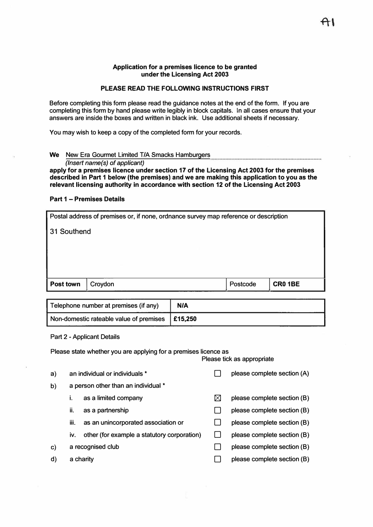#### **Application for a premises licence to be granted under the Licensing Act 2003**

### **PLEASE READ THE FOLLOWING INSTRUCTIONS FIRST**

Before completing this form please read the guidance notes at the end of the form. If you are completing this form by hand please write legibly in block capitals. In all cases ensure that your answers are inside the boxes and written in black ink. Use additional sheets if necessary.

You may wish to keep a copy of the completed form for your records.

### **We** New Era Gourmet Limited T/A Smacks Hamburgers

*(Insert name(s) of applicant)* 

**apply for a premises licence under section 17 of the Licensing Act 2003 for the premises described in Part 1 below (the premises) and we are making this application to you as the relevant licensing authority in accordance with section 12 of the Licensing Act 2003** 

### **Part 1 - Premises Details**

| Postal address of premises or, if none, ordnance survey map reference or description |  |  |  |  |  |
|--------------------------------------------------------------------------------------|--|--|--|--|--|
| 31 Southend                                                                          |  |  |  |  |  |
|                                                                                      |  |  |  |  |  |
|                                                                                      |  |  |  |  |  |
|                                                                                      |  |  |  |  |  |
| <b>CR0 1BE</b><br>Post town<br>Postcode<br>Croydon                                   |  |  |  |  |  |
|                                                                                      |  |  |  |  |  |

| Telephone number at premises (if any)             | <b>N/A</b> |
|---------------------------------------------------|------------|
| Non-domestic rateable value of premises   £15,250 |            |

#### Part 2 - Applicant Details

Please state whether you are applying for a premises licence as

Please tick as appropriate

| a) |                                     | an individual or individuals *              |  | please complete section (A) |
|----|-------------------------------------|---------------------------------------------|--|-----------------------------|
| b) | a person other than an individual * |                                             |  |                             |
|    | 1.                                  | as a limited company                        |  | please complete section (B) |
|    | ii.                                 | as a partnership                            |  | please complete section (B) |
|    | iii.                                | as an unincorporated association or         |  | please complete section (B) |
|    | IV.                                 | other (for example a statutory corporation) |  | please complete section (B) |
| C) | a recognised club                   |                                             |  | please complete section (B) |
| d) |                                     | a charity                                   |  | please complete section (B) |
|    |                                     |                                             |  |                             |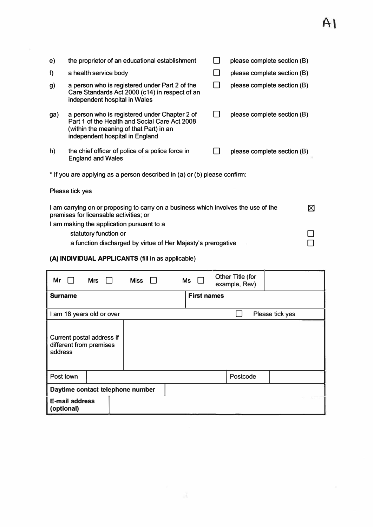# $A<sub>1</sub>$

| e)  | the proprietor of an educational establishment                                                                                                                               | please complete section (B) |           |
|-----|------------------------------------------------------------------------------------------------------------------------------------------------------------------------------|-----------------------------|-----------|
| f)  | a health service body                                                                                                                                                        | please complete section (B) |           |
| g)  | a person who is registered under Part 2 of the<br>Care Standards Act 2000 (c14) in respect of an<br>independent hospital in Wales                                            | please complete section (B) |           |
| ga) | a person who is registered under Chapter 2 of<br>Part 1 of the Health and Social Care Act 2008<br>(within the meaning of that Part) in an<br>independent hospital in England | please complete section (B) |           |
| h)  | the chief officer of police of a police force in<br><b>England and Wales</b>                                                                                                 | please complete section (B) |           |
|     | * If you are applying as a person described in (a) or (b) please confirm:                                                                                                    |                             |           |
|     | Please tick yes                                                                                                                                                              |                             |           |
|     | I am carrying on or proposing to carry on a business which involves the use of the<br>premises for licensable activities; or                                                 |                             | $\bowtie$ |
|     | I am making the application pursuant to a                                                                                                                                    |                             |           |
|     | statutory function or                                                                                                                                                        |                             |           |
|     | a function discharged by virtue of Her Majesty's prerogative                                                                                                                 |                             |           |

**(A) INDIVIDUAL APPLICANTS** (fill in as applicable)

| Mr                                                              | Mrs | Miss |  | $Ms \quad \Box$    | Other Title (for<br>example, Rev) |                 |
|-----------------------------------------------------------------|-----|------|--|--------------------|-----------------------------------|-----------------|
| <b>Surname</b>                                                  |     |      |  | <b>First names</b> |                                   |                 |
| I am 18 years old or over                                       |     |      |  |                    |                                   | Please tick yes |
| Current postal address if<br>different from premises<br>address |     |      |  |                    |                                   |                 |
| Post town                                                       |     |      |  |                    | Postcode                          |                 |
| Daytime contact telephone number                                |     |      |  |                    |                                   |                 |
| <b>E-mail address</b><br>(optional)                             |     |      |  |                    |                                   |                 |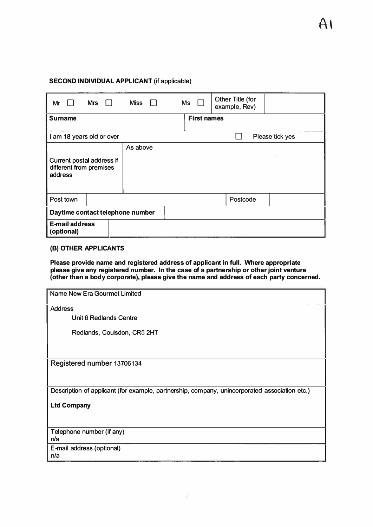## **SECOND INDIVIDUAL APPLICANT (if applicable)**

| <b>Mrs</b><br>Mr                                                | <b>Miss</b> | Ms                 | <b>Other Title (for</b><br>example, Rev) |                 |
|-----------------------------------------------------------------|-------------|--------------------|------------------------------------------|-----------------|
| <b>Surname</b>                                                  |             | <b>First names</b> |                                          |                 |
| I am 18 years old or over                                       |             |                    |                                          | Please tick yes |
| Current postal address if<br>different from premises<br>address | As above    |                    |                                          |                 |
| Post town                                                       |             |                    | Postcode                                 |                 |
| Daytime contact telephone number                                |             |                    |                                          |                 |
| <b>E-mail address</b><br>(optional)                             |             |                    |                                          |                 |

### **(B) OTHER APPLICANTS**

**Please provide name and registered address of applicant in full. Where appropriate please give any registered number. In the case of a partnership or other joint venture (other than a body corporate), please give the name and address of each party concerned.** 

| <b>Name New Era Gourmet Limited</b>                                                           |
|-----------------------------------------------------------------------------------------------|
| <b>Address</b>                                                                                |
| Unit 6 Redlands Centre                                                                        |
| Redlands, Coulsdon, CR5 2HT                                                                   |
|                                                                                               |
| Registered number 13706134                                                                    |
| Description of applicant (for example, partnership, company, unincorporated association etc.) |
| <b>Ltd Company</b>                                                                            |
| Telephone number (if any)<br>n/a                                                              |
| E-mail address (optional)<br>n/a                                                              |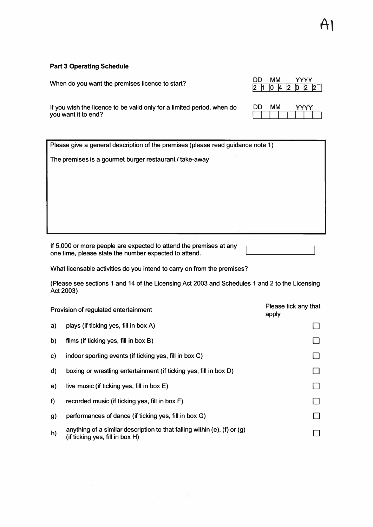## **Part 3 Operating Schedule**

|                                                 | DD |
|-------------------------------------------------|----|
| When do you want the premises licence to start? |    |

DD **MM YYYY**  $1042$ 

If you wish the licence to be valid only for a limited period, when do you want it to end?

| DD. | ΜМ |  |
|-----|----|--|
|     |    |  |

| Please give a general description of the premises (please read guidance note 1) |
|---------------------------------------------------------------------------------|
| The premises is a gourmet burger restaurant / take-away                         |
|                                                                                 |
|                                                                                 |
|                                                                                 |
|                                                                                 |
|                                                                                 |
|                                                                                 |

If 5,000 or more people are expected to attend the premises at any one time, please state the number expected to attend.

What licensable activities do you intend to carry on from the premises?

(Please see sections 1 and 14 of the Licensing Act 2003 and Schedules 1 and 2 to the Licensing Act 2003)

|    | Provision of regulated entertainment                                                                             | Please tick any that<br>apply |
|----|------------------------------------------------------------------------------------------------------------------|-------------------------------|
| a) | plays (if ticking yes, fill in box A)                                                                            |                               |
| b) | films (if ticking yes, fill in box B)                                                                            |                               |
| C) | indoor sporting events (if ticking yes, fill in box C)                                                           |                               |
| d) | boxing or wrestling entertainment (if ticking yes, fill in box D)                                                |                               |
| e) | live music (if ticking yes, fill in box $E$ )                                                                    |                               |
| f  | recorded music (if ticking yes, fill in box F)                                                                   |                               |
| g) | performances of dance (if ticking yes, fill in box G)                                                            |                               |
| h) | anything of a similar description to that falling within (e), (f) or $(g)$<br>(if ticking yes, fill in box $H$ ) |                               |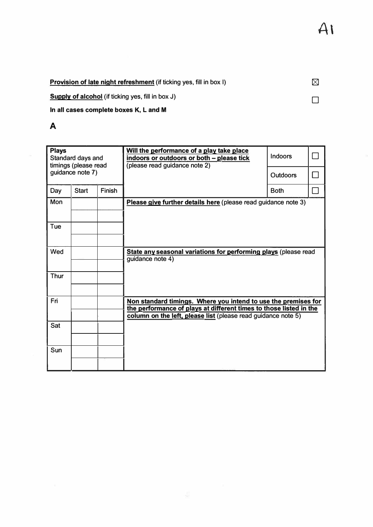Provision of late night refreshment (if ticking yes, fill in box I)

Supply of alcohol (if ticking yes, fill in box J)

In **all cases complete boxes K,** L **and M** 

# **A**

| <b>Plays</b><br>Standard days and<br>timings (please read |                  |               | Will the performance of a play take place<br>indoors or outdoors or both - please tick<br>(please read guidance note 2)                                                                               | Indoors         |  |
|-----------------------------------------------------------|------------------|---------------|-------------------------------------------------------------------------------------------------------------------------------------------------------------------------------------------------------|-----------------|--|
|                                                           | guidance note 7) |               |                                                                                                                                                                                                       | <b>Outdoors</b> |  |
| Day                                                       | <b>Start</b>     | <b>Finish</b> |                                                                                                                                                                                                       | <b>Both</b>     |  |
| Mon                                                       |                  |               | Please give further details here (please read guidance note 3)                                                                                                                                        |                 |  |
| Tue                                                       |                  |               |                                                                                                                                                                                                       |                 |  |
| Wed                                                       |                  |               | State any seasonal variations for performing plays (please read<br>guidance note 4)                                                                                                                   |                 |  |
| <b>Thur</b>                                               |                  |               |                                                                                                                                                                                                       |                 |  |
| Fri                                                       |                  |               | Non standard timings. Where you intend to use the premises for<br>the performance of plays at different times to those listed in the<br>column on the left, please list (please read guidance note 5) |                 |  |
| Sat                                                       |                  |               |                                                                                                                                                                                                       |                 |  |
| Sun                                                       |                  |               |                                                                                                                                                                                                       |                 |  |

 $\boxtimes$ 

□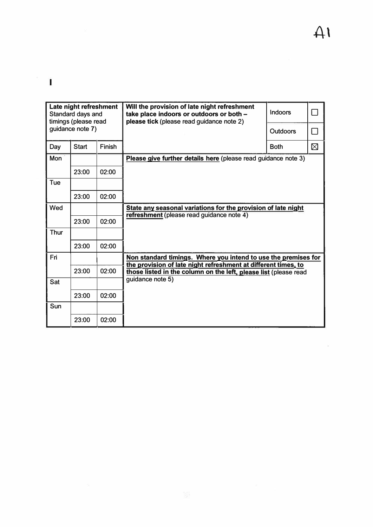$\overline{\times}$ 

 $\mathbf{L}$ 

| Late night refreshment<br>Standard days and<br>timings (please read |              |               | Will the provision of late night refreshment<br>take place indoors or outdoors or both -<br>please tick (please read guidance note 2) | Indoors     | П      |
|---------------------------------------------------------------------|--------------|---------------|---------------------------------------------------------------------------------------------------------------------------------------|-------------|--------|
| guidance note 7)                                                    |              |               |                                                                                                                                       | Outdoors    | $\Box$ |
| Day                                                                 | <b>Start</b> | <b>Finish</b> |                                                                                                                                       | <b>Both</b> | ⊠      |
| <b>Mon</b>                                                          |              |               | Please give further details here (please read guidance note 3)                                                                        |             |        |
|                                                                     | 23:00        | 02:00         |                                                                                                                                       |             |        |
| Tue                                                                 |              |               |                                                                                                                                       |             |        |
|                                                                     | 23:00        | 02:00         |                                                                                                                                       |             |        |
| Wed                                                                 |              |               | State any seasonal variations for the provision of late night                                                                         |             |        |
|                                                                     | 23:00        | 02:00         | refreshment (please read guidance note 4)                                                                                             |             |        |
| Thur                                                                |              |               |                                                                                                                                       |             |        |
|                                                                     | 23:00        | 02:00         |                                                                                                                                       |             |        |
| Fri                                                                 |              |               | Non standard timings. Where you intend to use the premises for                                                                        |             |        |
|                                                                     | 23:00        | 02:00         | the provision of late night refreshment at different times, to<br>those listed in the column on the left, please list (please read    |             |        |
| Sat                                                                 |              |               | guidance note 5)                                                                                                                      |             |        |
|                                                                     | 23:00        | 02:00         |                                                                                                                                       |             |        |
| Sun                                                                 |              |               |                                                                                                                                       |             |        |
|                                                                     | 23:00        | 02:00         |                                                                                                                                       |             |        |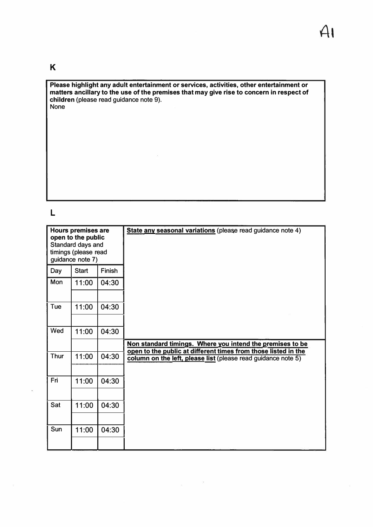# **K**

**Please highlight any adult entertainment or services, activities, other entertainment or matters ancillary to the use of the premises that may give rise to concern in respect of children** (please read guidance note 9). None

# **L**

|             | <b>Hours premises are</b><br>open to the public<br>Standard days and<br>timings (please read<br>guidance note 7) |               | State any seasonal variations (please read guidance note 4)                                                                     |
|-------------|------------------------------------------------------------------------------------------------------------------|---------------|---------------------------------------------------------------------------------------------------------------------------------|
| Day         | <b>Start</b>                                                                                                     | <b>Finish</b> |                                                                                                                                 |
| Mon         | 11:00                                                                                                            | 04:30         |                                                                                                                                 |
|             |                                                                                                                  |               |                                                                                                                                 |
| Tue         | 11:00                                                                                                            | 04:30         |                                                                                                                                 |
|             |                                                                                                                  |               |                                                                                                                                 |
| Wed         | 11:00                                                                                                            | 04:30         |                                                                                                                                 |
|             |                                                                                                                  |               | Non standard timings. Where you intend the premises to be                                                                       |
| <b>Thur</b> | 11:00                                                                                                            | 04:30         | open to the public at different times from those listed in the<br>column on the left, please list (please read guidance note 5) |
|             |                                                                                                                  |               |                                                                                                                                 |
| Fri         | 11:00                                                                                                            | 04:30         |                                                                                                                                 |
|             |                                                                                                                  |               |                                                                                                                                 |
| Sat         | 11:00                                                                                                            | 04:30         |                                                                                                                                 |
|             |                                                                                                                  |               |                                                                                                                                 |
| Sun         | 11:00                                                                                                            | 04:30         |                                                                                                                                 |
|             |                                                                                                                  |               |                                                                                                                                 |

 $\bar{\Xi}$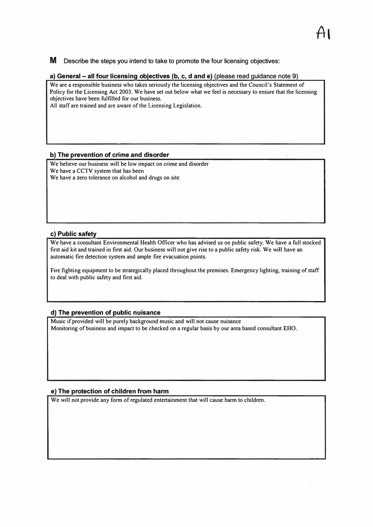**M** Describe the steps you intend to take to promote the four licensing objectives:

### **a) General - all four licensing objectives (b, c, d and e)** (please read Quidance note 9)

**We are a responsible business who takes seriously the licensing objectives and the Council's Statement of Policy for the Licensing Act 2003. We have set out below what we feel is necessary to ensure that the licensing objectives have been fulfilled for our business.** 

**All staff are trained and are aware of the Licensing Legislation.** 

### **b) The prevention of crime and disorder**

**We believe our business will be low impact on crime and disorder We have a CCTV system that has been We have a zero tolerance on alcohol and drugs on site** 

### **c) Public safety**

**We have a consultant Environmental Health Officer who has advised us on public safety. We have a full stocked first aid kit and trained in first aid. Our business will not give rise to a public safety risk. We will have an automatic fire detection system and ample fire evacuation points.** 

**Fire fighting equipment to be strategically placed throughout the premises. Emergency lighting, training of staff to deal with public safety and first aid.** 

### **d) The prevention of public nuisance**

**Music if provided will be purely background music and will not cause nuisance Monitoring of business and impact to be checked on a regular basis by our area based consultant EHO.** 

### **e) The protection of children from harm**

**We will not provide any form of regulated entertainment that will cause harm to children.**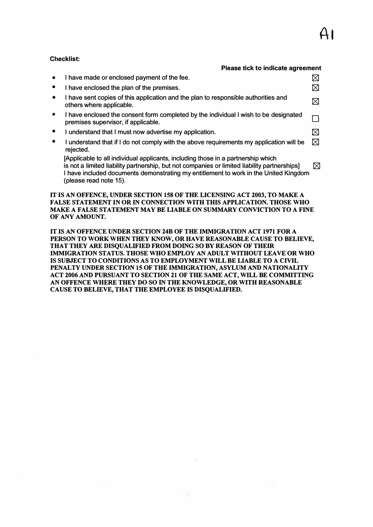## **Checklist:**

#### **Please tick to indicate agreement**

| $\bullet$ | I have made or enclosed payment of the fee.                                                                                                                                                                                                                                                        |   |
|-----------|----------------------------------------------------------------------------------------------------------------------------------------------------------------------------------------------------------------------------------------------------------------------------------------------------|---|
| $\bullet$ | I have enclosed the plan of the premises.                                                                                                                                                                                                                                                          |   |
| $\bullet$ | I have sent copies of this application and the plan to responsible authorities and<br>others where applicable.                                                                                                                                                                                     |   |
| $\bullet$ | I have enclosed the consent form completed by the individual I wish to be designated<br>premises supervisor, if applicable.                                                                                                                                                                        |   |
| $\bullet$ | I understand that I must now advertise my application.                                                                                                                                                                                                                                             |   |
| $\bullet$ | I understand that if I do not comply with the above requirements my application will be<br>rejected.                                                                                                                                                                                               | ⊠ |
|           | [Applicable to all individual applicants, including those in a partnership which<br>is not a limited liability partnership, but not companies or limited liability partnerships]<br>I have included documents demonstrating my entitlement to work in the United Kingdom<br>(please read note 15). | ⋈ |

### **IT IS AN OFFENCE, UNDER SECTION 158 OF THE LICENSING ACT 2003, TO MAKE A FALSE STATEMENT IN OR IN CONNECTION WITH THIS APPLICATION. THOSE WHO MAKE A FALSE STATEMENT MAY BE LIABLE ON SUMMARY CONVICTION TO A FINE OF ANY AMOUNT.**

**IT IS AN OFFENCE UNDER SECTION 24B OF THE IMMIGRATION ACT 1971 FOR A**  PERSON TO WORK WHEN THEY KNOW, OR HAVE REASONABLE CAUSE TO BELIEVE, **THAT THEY ARE DISQUALIFIED FROM DOING SO BY REASON OF THEIR IMMIGRATION STATUS. THOSE WHO EMPLOY AN ADULT WITHOUT LEAVE OR WHO IS SUBJECT TO CONDITIONS AS TO EMPLOYMENT WILL BE LIABLE TO A CIVIL PENALTY UNDER SECTION 15 OF THE IMMIGRATION, ASYLUM AND NATIONALITY ACT 2006 AND PURSUANT TO SECTION 21 OF THE SAME ACT, WILL BE COMMITTING AN OFFENCE WHERE THEY DO SO IN THE KNOWLEDGE, OR WITH REASONABLE**  CAUSE TO BELIEVE, THAT THE EMPLOYEE IS DISQUALIFIED.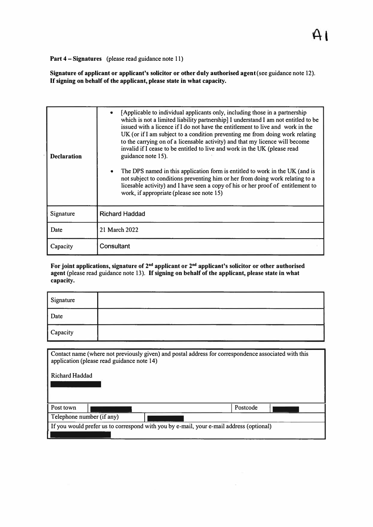**Part 4** - **Signatures** (please read guidance note 11)

**Signature of applicant or applicant's solicitor or other duly authorised agent** (see guidance note 12). **If signing on behalf of the applicant, please state in what capacity.** 

|                    | [Applicable to individual applicants only, including those in a partnership<br>which is not a limited liability partnership] I understand I am not entitled to be<br>issued with a licence if I do not have the entitlement to live and work in the<br>UK (or if I am subject to a condition preventing me from doing work relating<br>to the carrying on of a licensable activity) and that my licence will become |  |
|--------------------|---------------------------------------------------------------------------------------------------------------------------------------------------------------------------------------------------------------------------------------------------------------------------------------------------------------------------------------------------------------------------------------------------------------------|--|
| <b>Declaration</b> | invalid if I cease to be entitled to live and work in the UK (please read<br>guidance note 15).<br>The DPS named in this application form is entitled to work in the UK (and is<br>$\bullet$                                                                                                                                                                                                                        |  |
|                    | not subject to conditions preventing him or her from doing work relating to a<br>licesable activity) and I have seen a copy of his or her proof of entitlement to<br>work, if appropriate (please see note 15)                                                                                                                                                                                                      |  |
| Signature          | <b>Richard Haddad</b>                                                                                                                                                                                                                                                                                                                                                                                               |  |
| Date               | 21 March 2022                                                                                                                                                                                                                                                                                                                                                                                                       |  |
| Capacity           | Consultant                                                                                                                                                                                                                                                                                                                                                                                                          |  |

For joint applications, signature of 2<sup>nd</sup> applicant or 2<sup>nd</sup> applicant's solicitor or other authorised **agent** (please read guidance note 13 ). **If signing on behalf of the applicant, please state in what capacity.** 

| Signature |  |
|-----------|--|
| Date      |  |
| Capacity  |  |

Contact name (where not previously given) and postal address for correspondence associated with this application (please read guidance note 14)

Richard Haddad

Post town Postcode

Telephone number (if any)

If you would prefer us to correspond with you by e-mail, your e-mail address ( optional)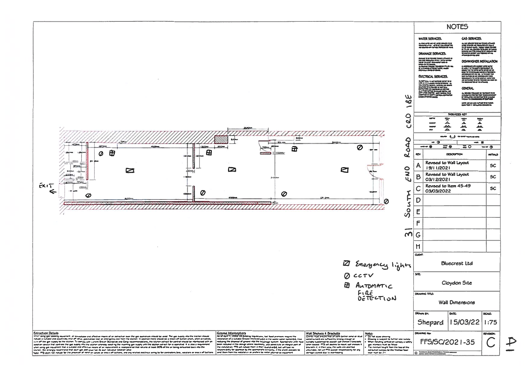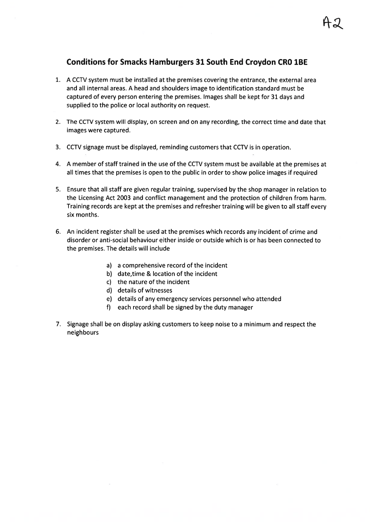# **Conditions for Smacks Hamburgers 31 South End Croydon CRO 1BE**

- 1. A CCTV system must be installed at the premises covering the entrance, the external area and all internal areas. A head and shoulders image to identification standard must be captured of every person entering the premises. Images shall be kept for 31 days and supplied to the police or local authority on request.
- 2. The CCTV system will display, on screen and on any recording, the correct time and date that images were captured.
- 3. CCTV signage must be displayed, reminding customers that CCTV is in operation.
- 4. A member of staff trained in the use of the CCTV system must be available at the premises at all times that the premises is open to the public in order to show police images if required
- 5. Ensure that all staff are given regular training, supervised by the shop manager in relation to the Licensing Act 2003 and conflict management and the protection of children from harm. Training records are kept at the premises and refresher training will be given to all staff every six months.
- 6. An incident register shall be used at the premises which records any incident of crime and disorder or anti-social behaviour either inside or outside which is or has been connected to the premises. The details will include
	- a) a comprehensive record of the incident
	- b) date, time & location of the incident
	- c) the nature of the incident
	- d) details of witnesses
	- e) details of any emergency services personnel who attended
	- f) each record shall be signed by the duty manager
- 7. Signage shall be on display asking customers to keep noise to a minimum and respect the neighbours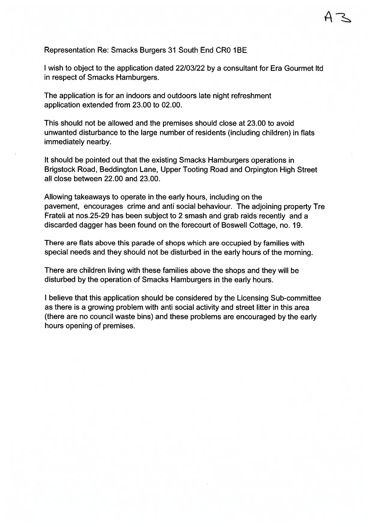Representation Re: Smacks Burgers 31 South End CR0 1BE

I wish to object to the application dated 22/03/22 by a consultant for Era Gourmet Itd in respect of Smacks Hamburgers.

The application is for an indoors and outdoors late night refreshment application extended from 23.00 to 02.00.

This should not be allowed and the premises should close at 23.00 to avoid unwanted disturbance to the large number of residents (including children) in flats immediately nearby.

It should be pointed out that the existing Smacks Hamburgers operations in Brigstock Road, Beddington Lane, Upper Tooting Road and Orpington High Street all close between 22,00 and 23,00.

Allowing takeaways to operate in the early hours, including on the pavement, encourages crime and anti social behaviour. The adjoining property Tre Frateli at nos.25-29 has been subject to 2 smash and grab raids recently and a discarded dagger has been found on the forecourt of Boswell Cottage, no. 19.

There are flats above this parade of shops which are occupied by families with special needs and they should not be disturbed in the early hours of the morning.

There are children living with these families above the shops and they will be disturbed by the operation of Smacks Hamburgers in the early hours.

I believe that this application should be considered by the Licensing Sub-committee as there is a growing problem with anti social activity and street litter in this area (there are no council waste bins) and these problems are encouraged by the early hours opening of premises.